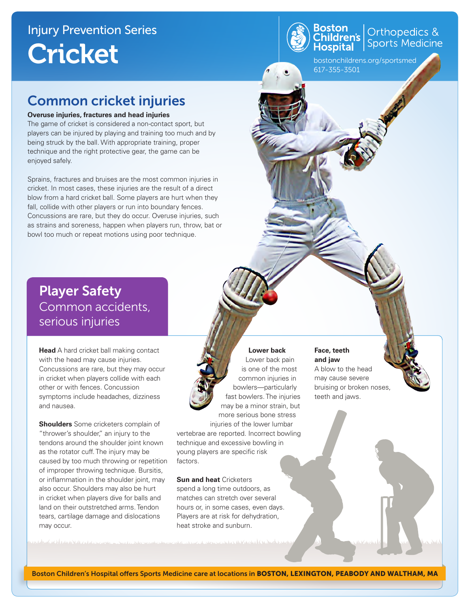

Orthopedics &<br>Sports Medicine

bostonchildrens.org/sportsmed 617-355-3501

## Common cricket injuries

#### **Overuse injuries, fractures and head injuries**

The game of cricket is considered a non-contact sport, but players can be injured by playing and training too much and by being struck by the ball. With appropriate training, proper technique and the right protective gear, the game can be enjoyed safely.

Sprains, fractures and bruises are the most common injuries in cricket. In most cases, these injuries are the result of a direct blow from a hard cricket ball. Some players are hurt when they fall, collide with other players or run into boundary fences. Concussions are rare, but they do occur. Overuse injuries, such as strains and soreness, happen when players run, throw, bat or bowl too much or repeat motions using poor technique.

Player Safety Common accidents, serious injuries

with the head may cause injuries. Concussions are rare, but they may occur **Head** A hard cricket ball making contact in cricket when players collide with each other or with fences. Concussion symptoms include headaches, dizziness and nausea.

**Shoulders** Some cricketers complain of "thrower's shoulder," an injury to the tendons around the shoulder joint known as the rotator cuff. The injury may be caused by too much throwing or repetition of improper throwing technique. Bursitis, or inflammation in the shoulder joint, may also occur. Shoulders may also be hurt in cricket when players dive for balls and land on their outstretched arms. Tendon tears, cartilage damage and dislocations may occur.

#### **Lower back**

Lower back pain is one of the most common injuries in bowlers—particularly fast bowlers. The injuries may be a minor strain, but more serious bone stress injuries of the lower lumbar vertebrae are reported. Incorrect bowling technique and excessive bowling in young players are specific risk factors.

**Sun and heat** Cricketers spend a long time outdoors, as matches can stretch over several hours or, in some cases, even days. Players are at risk for dehydration, heat stroke and sunburn.

#### **Face, teeth and jaw**

A blow to the head may cause severe bruising or broken noses, teeth and jaws.

Boston Children's Hospital offers Sports Medicine care at locations in BOSTON, LEXINGTON, PEABODY AND WALTHAM, MA